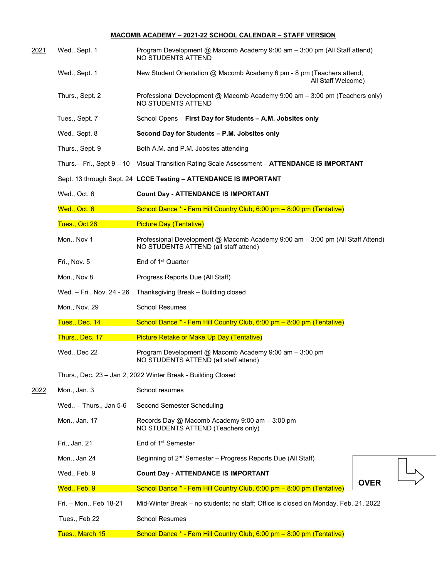## **MACOMB ACADEMY – 2021-22 SCHOOL CALENDAR – STAFF VERSION**

| <u> 2021 </u> | Wed., Sept. 1             | Program Development @ Macomb Academy 9:00 am - 3:00 pm (All Staff attend)<br>NO STUDENTS ATTEND                         |
|---------------|---------------------------|-------------------------------------------------------------------------------------------------------------------------|
|               | Wed., Sept. 1             | New Student Orientation @ Macomb Academy 6 pm - 8 pm (Teachers attend;<br>All Staff Welcome)                            |
|               | Thurs., Sept. 2           | Professional Development @ Macomb Academy 9:00 am - 3:00 pm (Teachers only)<br>NO STUDENTS ATTEND                       |
|               | Tues., Sept. 7            | School Opens - First Day for Students - A.M. Jobsites only                                                              |
|               | Wed., Sept. 8             | Second Day for Students - P.M. Jobsites only                                                                            |
|               | Thurs., Sept. 9           | Both A.M. and P.M. Jobsites attending                                                                                   |
|               |                           | Thurs.—Fri., Sept 9 - 10 Visual Transition Rating Scale Assessment - ATTENDANCE IS IMPORTANT                            |
|               |                           | Sept. 13 through Sept. 24 LCCE Testing - ATTENDANCE IS IMPORTANT                                                        |
|               | Wed., Oct. 6              | <b>Count Day - ATTENDANCE IS IMPORTANT</b>                                                                              |
|               | Wed., Oct. 6              | School Dance * - Fern Hill Country Club, 6:00 pm - 8:00 pm (Tentative)                                                  |
|               | Tues., Oct 26             | <b>Picture Day (Tentative)</b>                                                                                          |
|               | Mon., Nov 1               | Professional Development @ Macomb Academy 9:00 am - 3:00 pm (All Staff Attend)<br>NO STUDENTS ATTEND (all staff attend) |
|               | Fri., Nov. 5              | End of 1 <sup>st</sup> Quarter                                                                                          |
|               | Mon., Nov 8               | Progress Reports Due (All Staff)                                                                                        |
|               | Wed. – Fri., Nov. 24 - 26 | Thanksgiving Break - Building closed                                                                                    |
|               | Mon., Nov. 29             | <b>School Resumes</b>                                                                                                   |
|               | Tues., Dec. 14            | School Dance * - Fern Hill Country Club, 6:00 pm - 8:00 pm (Tentative)                                                  |
|               | Thurs., Dec. 17           | Picture Retake or Make Up Day (Tentative)                                                                               |
|               | Wed., Dec 22              | Program Development @ Macomb Academy 9:00 am - 3:00 pm<br>NO STUDENTS ATTEND (all staff attend)                         |
|               |                           | Thurs., Dec. 23 - Jan 2, 2022 Winter Break - Building Closed                                                            |
| 2022          | Mon., Jan. 3              | School resumes                                                                                                          |
|               | Wed., $-$ Thurs., Jan 5-6 | Second Semester Scheduling                                                                                              |
|               | Mon., Jan. 17             | Records Day @ Macomb Academy 9:00 am - 3:00 pm<br>NO STUDENTS ATTEND (Teachers only)                                    |
|               | Fri., Jan. 21             | End of 1 <sup>st</sup> Semester                                                                                         |
|               | Mon., Jan 24              | Beginning of 2 <sup>nd</sup> Semester - Progress Reports Due (All Staff)                                                |
|               | Wed., Feb. 9              | <b>Count Day - ATTENDANCE IS IMPORTANT</b>                                                                              |
|               | Wed., Feb. 9              | <b>OVER</b><br>School Dance * - Fern Hill Country Club, 6:00 pm - 8:00 pm (Tentative)                                   |
|               | Fri. - Mon., Feb 18-21    | Mid-Winter Break – no students; no staff; Office is closed on Monday, Feb. 21, 2022                                     |
|               | Tues., Feb 22             | <b>School Resumes</b>                                                                                                   |
|               | Tues., March 15           | School Dance * - Fern Hill Country Club, 6:00 pm - 8:00 pm (Tentative)                                                  |